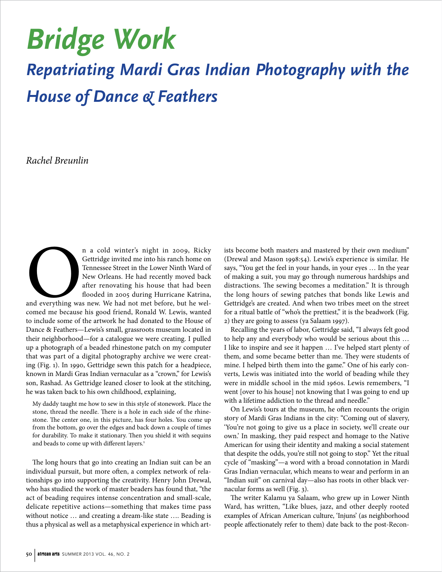# *Bridge Work Repatriating Mardi Gras Indian Photography with the House of Dance & Feathers*

# *Rachel Breunlin*

n a cold winter's night in 2009, Ricky<br>Gettridge invited me into his ranch home on<br>Tennessee Street in the Lower Ninth Ward of<br>New Orleans. He had recently moved back<br>after renovating his house that had been<br>flooded in 200 Gettridge invited me into his ranch home on Tennessee Street in the Lower Ninth Ward of New Orleans. He had recently moved back after renovating his house that had been flooded in 2005 during Hurricane Katrina, and everything was new. We had not met before, but he welcomed me because his good friend, Ronald W. Lewis, wanted to include some of the artwork he had donated to the House of Dance & Feathers—Lewis's small, grassroots museum located in their neighborhood—for a catalogue we were creating. I pulled up a photograph of a beaded rhinestone patch on my computer that was part of a digital photography archive we were creating (Fig. 1). In 1990, Gettridge sewn this patch for a headpiece, known in Mardi Gras Indian vernacular as a "crown," for Lewis's son, Rashad. As Gettridge leaned closer to look at the stitching, he was taken back to his own childhood, explaining,

My daddy taught me how to sew in this style of stonework. Place the stone, thread the needle. There is a hole in each side of the rhinestone. The center one, in this picture, has four holes. You come up from the bottom, go over the edges and back down a couple of times for durability. To make it stationary. Then you shield it with sequins and beads to come up with different layers.<sup>1</sup>

The long hours that go into creating an Indian suit can be an individual pursuit, but more often, a complex network of relationships go into supporting the creativity. Henry John Drewal, who has studied the work of master beaders has found that, "the act of beading requires intense concentration and small-scale, delicate repetitive actions—something that makes time pass without notice … and creating a dream-like state …. Beading is thus a physical as well as a metaphysical experience in which artists become both masters and mastered by their own medium" (Drewal and Mason 1998:54). Lewis's experience is similar. He says, "You get the feel in your hands, in your eyes … In the year of making a suit, you may go through numerous hardships and distractions. The sewing becomes a meditation." It is through the long hours of sewing patches that bonds like Lewis and Gettridge's are created. And when two tribes meet on the street for a ritual battle of "who's the prettiest," it is the beadwork (Fig. 2) they are going to assess (ya Salaam 1997).

Recalling the years of labor, Gettridge said, "I always felt good to help any and everybody who would be serious about this … I like to inspire and see it happen … I've helped start plenty of them, and some became better than me. They were students of mine. I helped birth them into the game." One of his early converts, Lewis was initiated into the world of beading while they were in middle school in the mid 1960s. Lewis remembers, "I went [over to his house] not knowing that I was going to end up with a lifetime addiction to the thread and needle."

On Lewis's tours at the museum, he often recounts the origin story of Mardi Gras Indians in the city: "Coming out of slavery, 'You're not going to give us a place in society, we'll create our own.' In masking, they paid respect and homage to the Native American for using their identity and making a social statement that despite the odds, you're still not going to stop." Yet the ritual cycle of "masking"—a word with a broad connotation in Mardi Gras Indian vernacular, which means to wear and perform in an "Indian suit" on carnival day—also has roots in other black vernacular forms as well (Fig. 3).

The writer Kalamu ya Salaam, who grew up in Lower Ninth Ward, has written, "Like blues, jazz, and other deeply rooted examples of African American culture, 'Injuns' (as neighborhood people affectionately refer to them) date back to the post-Recon-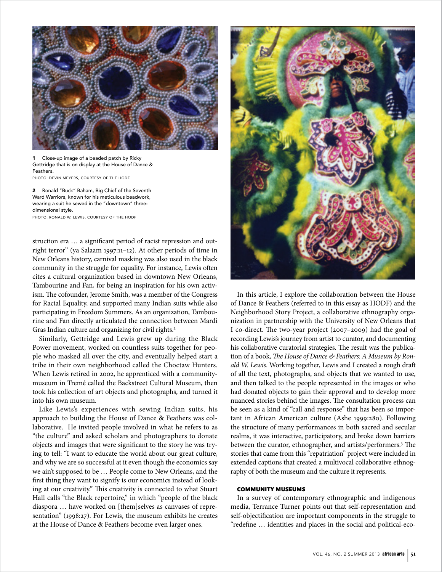

Close-up image of a beaded patch by Ricky Gettridge that is on display at the House of Dance & Feathers. Photo: Devin Meyers, courtesy of the HODF

2 Ronald "Buck" Baham, Big Chief of the Seventh Ward Warriors, known for his meticulous beadwork wearing a suit he sewed in the "downtown" threedimensional style.

Photo: Ronald W. Lewis, courtesy of the HODF

struction era … a significant period of racist repression and outright terror" (ya Salaam 1997:11–12). At other periods of time in New Orleans history, carnival masking was also used in the black community in the struggle for equality. For instance, Lewis often cites a cultural organization based in downtown New Orleans, Tambourine and Fan, for being an inspiration for his own activism. The cofounder, Jerome Smith, was a member of the Congress for Racial Equality, and supported many Indian suits while also participating in Freedom Summers. As an organization, Tambourine and Fan directly articulated the connection between Mardi Gras Indian culture and organizing for civil rights.<sup>2</sup>

Similarly, Gettridge and Lewis grew up during the Black Power movement, worked on countless suits together for people who masked all over the city, and eventually helped start a tribe in their own neighborhood called the Choctaw Hunters. When Lewis retired in 2002, he apprenticed with a communitymuseum in Tremé called the Backstreet Cultural Museum, then took his collection of art objects and photographs, and turned it into his own museum.

Like Lewis's experiences with sewing Indian suits, his approach to building the House of Dance & Feathers was collaborative. He invited people involved in what he refers to as "the culture" and asked scholars and photographers to donate objects and images that were significant to the story he was trying to tell: "I want to educate the world about our great culture, and why we are so successful at it even though the economics say we ain't supposed to be … People come to New Orleans, and the first thing they want to signify is our economics instead of looking at our creativity." This creativity is connected to what Stuart Hall calls "the Black repertoire," in which "people of the black diaspora … have worked on [them]selves as canvases of representation" (1998:27). For Lewis, the museum exhibits he creates at the House of Dance & Feathers become even larger ones.



In this article, I explore the collaboration between the House of Dance & Feathers (referred to in this essay as HODF) and the Neighborhood Story Project, a collaborative ethnography organization in partnership with the University of New Orleans that I co-direct. The two-year project (2007–2009) had the goal of recording Lewis's journey from artist to curator, and documenting his collaborative curatorial strategies. The result was the publication of a book, *The House of Dance & Feathers: A Museum by Ronald W. Lewis*. Working together, Lewis and I created a rough draft of all the text, photographs, and objects that we wanted to use, and then talked to the people represented in the images or who had donated objects to gain their approval and to develop more nuanced stories behind the images. The consultation process can be seen as a kind of "call and response" that has been so important in African American culture (Ashe 1999:280). Following the structure of many performances in both sacred and secular realms, it was interactive, participatory, and broke down barriers between the curator, ethnographer, and artists/performers.3 The stories that came from this "repatriation" project were included in extended captions that created a multivocal collaborative ethnography of both the museum and the culture it represents.

## Community Museums

In a survey of contemporary ethnographic and indigenous media, Terrance Turner points out that self-representation and self-objectification are important components in the struggle to "redefine … identities and places in the social and political-eco-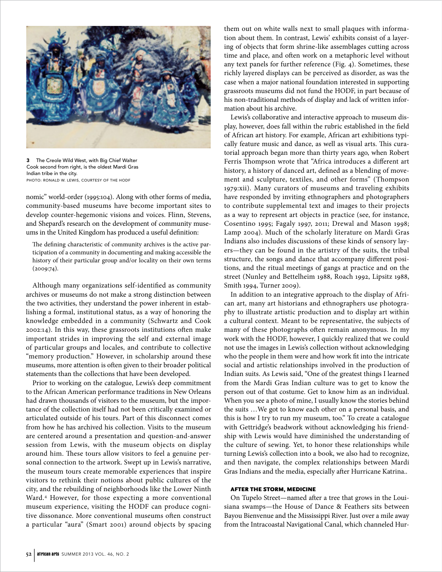

3 The Creole Wild West, with Big Chief Walter Cook second from right, is the oldest Mardi Gras Indian tribe in the city. Photo: Ronald W. Lewis, courtesy of the HODF

nomic" world-order (1995:104). Along with other forms of media, community-based museums have become important sites to develop counter-hegemonic visions and voices. Flinn, Stevens, and Shepard's research on the development of community museums in the United Kingdom has produced a useful definition:

The defining characteristic of community archives is the active participation of a community in documenting and making accessible the history of their particular group and/or locality on their own terms (2009:74).

Although many organizations self-identified as community archives or museums do not make a strong distinction between the two activities, they understand the power inherent in establishing a formal, institutional status, as a way of honoring the knowledge embedded in a community (Schwartz and Cook 2002:14). In this way, these grassroots institutions often make important strides in improving the self and external image of particular groups and locales, and contribute to collective "memory production." However, in scholarship around these museums, more attention is often given to their broader political statements than the collections that have been developed.

Prior to working on the catalogue, Lewis's deep commitment to the African American performance traditions in New Orleans had drawn thousands of visitors to the museum, but the importance of the collection itself had not been critically examined or articulated outside of his tours. Part of this disconnect comes from how he has archived his collection. Visits to the museum are centered around a presentation and question-and-answer session from Lewis, with the museum objects on display around him. These tours allow visitors to feel a genuine personal connection to the artwork. Swept up in Lewis's narrative, the museum tours create memorable experiences that inspire visitors to rethink their notions about public cultures of the city, and the rebuilding of neighborhoods like the Lower Ninth Ward.4 However, for those expecting a more conventional museum experience, visiting the HODF can produce cognitive dissonance. More conventional museums often construct a particular "aura" (Smart 2001) around objects by spacing them out on white walls next to small plaques with information about them. In contrast, Lewis' exhibits consist of a layering of objects that form shrine-like assemblages cutting across time and place, and often work on a metaphoric level without any text panels for further reference (Fig. 4). Sometimes, these richly layered displays can be perceived as disorder, as was the case when a major national foundation interested in supporting grassroots museums did not fund the HODF, in part because of his non-traditional methods of display and lack of written information about his archive.

Lewis's collaborative and interactive approach to museum display, however, does fall within the rubric established in the field of African art history. For example, African art exhibitions typically feature music and dance, as well as visual arts. This curatorial approach began more than thirty years ago, when Robert Ferris Thompson wrote that "Africa introduces a different art history, a history of danced art, defined as a blending of movement and sculpture, textiles, and other forms" (Thompson 1979:xii). Many curators of museums and traveling exhibits have responded by inviting ethnographers and photographers to contribute supplemental text and images to their projects as a way to represent art objects in practice (see, for instance, Cosentino 1995; Fagaly 1997, 2011; Drewal and Mason 1998; Lamp 2004). Much of the scholarly literature on Mardi Gras Indians also includes discussions of these kinds of sensory layers—they can be found in the artistry of the suits, the tribal structure, the songs and dance that accompany different positions, and the ritual meetings of gangs at practice and on the street (Nunley and Bettelheim 1988, Roach 1992, Lipsitz 1988, Smith 1994, Turner 2009).

In addition to an integrative approach to the display of African art, many art historians and ethnographers use photography to illustrate artistic production and to display art within a cultural context. Meant to be representative, the subjects of many of these photographs often remain anonymous. In my work with the HODF, however, I quickly realized that we could not use the images in Lewis's collection without acknowledging who the people in them were and how work fit into the intricate social and artistic relationships involved in the production of Indian suits. As Lewis said, "One of the greatest things I learned from the Mardi Gras Indian culture was to get to know the person out of that costume. Get to know him as an individual. When you see a photo of mine, I usually know the stories behind the suits …We got to know each other on a personal basis, and this is how I try to run my museum, too." To create a catalogue with Gettridge's beadwork without acknowledging his friendship with Lewis would have diminished the understanding of the culture of sewing. Yet, to honor these relationships while turning Lewis's collection into a book, we also had to recognize, and then navigate, the complex relationships between Mardi Gras Indians and the media, especially after Hurricane Katrina..

#### After the Storm, Medicine

On Tupelo Street—named after a tree that grows in the Louisiana swamps—the House of Dance & Feathers sits between Bayou Bienvenue and the Mississippi River. Just over a mile away from the Intracoastal Navigational Canal, which channeled Hur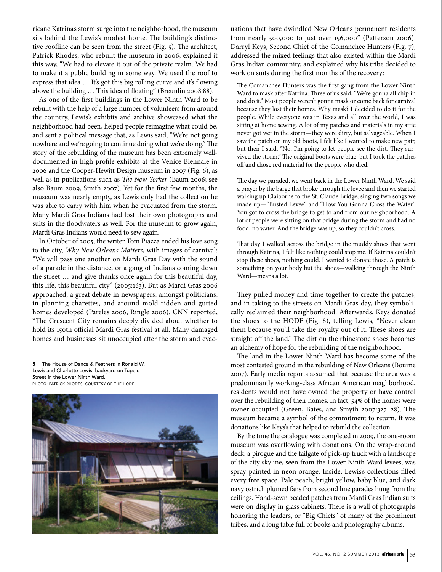ricane Katrina's storm surge into the neighborhood, the museum sits behind the Lewis's modest home. The building's distinctive roofline can be seen from the street (Fig. 5). The architect, Patrick Rhodes, who rebuilt the museum in 2006, explained it this way, "We had to elevate it out of the private realm. We had to make it a public building in some way. We used the roof to express that idea ... It's got this big rolling curve and it's flowing above the building … This idea of floating" (Breunlin 2008:88).

As one of the first buildings in the Lower Ninth Ward to be rebuilt with the help of a large number of volunteers from around the country, Lewis's exhibits and archive showcased what the neighborhood had been, helped people reimagine what could be, and sent a political message that, as Lewis said, "We're not going nowhere and we're going to continue doing what we're doing." The story of the rebuilding of the museum has been extremely welldocumented in high profile exhibits at the Venice Biennale in 2006 and the Cooper-Hewitt Design museum in 2007 (Fig. 6), as well as in publications such as *The New Yorker* (Baum 2006; see also Baum 2009, Smith 2007). Yet for the first few months, the museum was nearly empty, as Lewis only had the collection he was able to carry with him when he evacuated from the storm. Many Mardi Gras Indians had lost their own photographs and suits in the floodwaters as well. For the museum to grow again, Mardi Gras Indians would need to sew again.

In October of 2005, the writer Tom Piazza ended his love song to the city, *Why New Orleans Matters*, with images of carnival: "We will pass one another on Mardi Gras Day with the sound of a parade in the distance, or a gang of Indians coming down the street … and give thanks once again for this beautiful day, this life, this beautiful city" (2005:163). But as Mardi Gras 2006 approached, a great debate in newspapers, amongst politicians, in planning charettes, and around mold-ridden and gutted homes developed (Pareles 2006, Ringle 2006). CNN reported, "The Crescent City remains deeply divided about whether to hold its 150th official Mardi Gras festival at all. Many damaged homes and businesses sit unoccupied after the storm and evac-

5 The House of Dance & Feathers in Ronald W. Lewis and Charlotte Lewis' backyard on Tupelo Street in the Lower Ninth Ward. Photo: Patrick Rhodes, courtesy of the HODF



uations that have dwindled New Orleans permanent residents from nearly 500,000 to just over 156,000" (Patterson 2006). Darryl Keys, Second Chief of the Comanchee Hunters (Fig. 7), addressed the mixed feelings that also existed within the Mardi Gras Indian community, and explained why his tribe decided to work on suits during the first months of the recovery:

The Comanchee Hunters was the first gang from the Lower Ninth Ward to mask after Katrina. Three of us said, "We're gonna all chip in and do it." Most people weren't gonna mask or come back for carnival because they lost their homes. Why mask? I decided to do it for the people. While everyone was in Texas and all over the world, I was sitting at home sewing. A lot of my patches and materials in my attic never got wet in the storm—they were dirty, but salvageable. When I saw the patch on my old boots, I felt like I wanted to make new pair, but then I said, "No, I'm going to let people see the dirt. They survived the storm." The original boots were blue, but I took the patches off and chose red material for the people who died.

The day we paraded, we went back in the Lower Ninth Ward. We said a prayer by the barge that broke through the levee and then we started walking up Claiborne to the St. Claude Bridge, singing two songs we made up—"Busted Levee" and "How You Gonna Cross the Water." You got to cross the bridge to get to and from our neighborhood. A lot of people were sitting on that bridge during the storm and had no food, no water. And the bridge was up, so they couldn't cross.

That day I walked across the bridge in the muddy shoes that went through Katrina, I felt like nothing could stop me. If Katrina couldn't stop these shoes, nothing could. I wanted to donate those. A patch is something on your body but the shoes—walking through the Ninth Ward—means a lot.

They pulled money and time together to create the patches, and in taking to the streets on Mardi Gras day, they symbolically reclaimed their neighborhood. Afterwards, Keys donated the shoes to the HODF (Fig. 8), telling Lewis, "Never clean them because you'll take the royalty out of it. These shoes are straight off the land." The dirt on the rhinestone shoes becomes an alchemy of hope for the rebuilding of the neighborhood.

The land in the Lower Ninth Ward has become some of the most contested ground in the rebuilding of New Orleans (Bourne 2007). Early media reports assumed that because the area was a predominantly working-class African American neighborhood, residents would not have owned the property or have control over the rebuilding of their homes. In fact, 54% of the homes were owner-occupied (Green, Bates, and Smyth 2007:327–28). The museum became a symbol of the commitment to return. It was donations like Keys's that helped to rebuild the collection.

By the time the catalogue was completed in 2009, the one-room museum was overflowing with donations. On the wrap-around deck, a pirogue and the tailgate of pick-up truck with a landscape of the city skyline, seen from the Lower Ninth Ward levees, was spray-painted in neon orange. Inside, Lewis's collections filled every free space. Pale peach, bright yellow, baby blue, and dark navy ostrich plumed fans from second line parades hung from the ceilings. Hand-sewn beaded patches from Mardi Gras Indian suits were on display in glass cabinets. There is a wall of photographs honoring the leaders, or "Big Chiefs" of many of the prominent tribes, and a long table full of books and photography albums.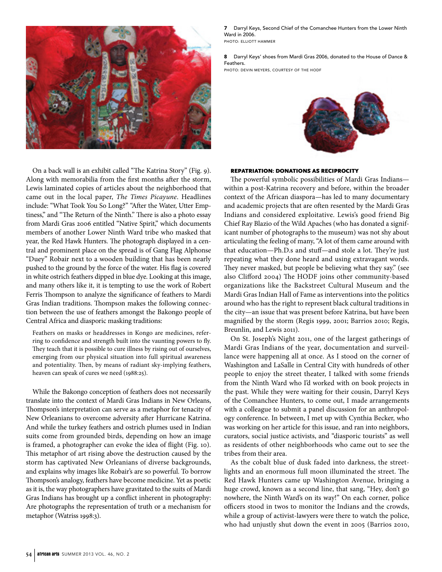

On a back wall is an exhibit called "The Katrina Story" (Fig. 9). Along with memorabilia from the first months after the storm, Lewis laminated copies of articles about the neighborhood that came out in the local paper, *The Times Picayune*. Headlines include: "What Took You So Long?" "After the Water, Utter Emptiness," and "The Return of the Ninth." There is also a photo essay from Mardi Gras 2006 entitled "Native Spirit," which documents members of another Lower Ninth Ward tribe who masked that year, the Red Hawk Hunters. The photograph displayed in a central and prominent place on the spread is of Gang Flag Alphonse "Duey" Robair next to a wooden building that has been nearly pushed to the ground by the force of the water. His flag is covered in white ostrich feathers dipped in blue dye. Looking at this image, and many others like it, it is tempting to use the work of Robert Ferris Thompson to analyze the significance of feathers to Mardi Gras Indian traditions. Thompson makes the following connection between the use of feathers amongst the Bakongo people of Central Africa and diasporic masking traditions:

Feathers on masks or headdresses in Kongo are medicines, referring to confidence and strength built into the vaunting powers to fly. They teach that it is possible to cure illness by rising out of ourselves, emerging from our physical situation into full spiritual awareness and potentiality. Then, by means of radiant sky-implying feathers, heaven can speak of cures we need (1988:25).

While the Bakongo conception of feathers does not necessarily translate into the context of Mardi Gras Indians in New Orleans, Thompson's interpretation can serve as a metaphor for tenacity of New Orleanians to overcome adversity after Hurricane Katrina. And while the turkey feathers and ostrich plumes used in Indian suits come from grounded birds, depending on how an image is framed, a photographer can evoke the idea of flight (Fig. 10). This metaphor of art rising above the destruction caused by the storm has captivated New Orleanians of diverse backgrounds, and explains why images like Robair's are so powerful. To borrow Thompson's analogy, feathers have become medicine. Yet as poetic as it is, the way photographers have gravitated to the suits of Mardi Gras Indians has brought up a conflict inherent in photography: Are photographs the representation of truth or a mechanism for metaphor (Watriss 1998:3).

Darryl Keys, Second Chief of the Comanchee Hunters from the Lower Ninth Ward in 2006. Photo: Elliott Hammer

8 Darryl Keys' shoes from Mardi Gras 2006, donated to the House of Dance & Feathers.

PHOTO: DEVIN MEYERS, COURTESY OF THE HODP



#### Repatriation: Donations as Reciprocity

The powerful symbolic possibilities of Mardi Gras Indians within a post-Katrina recovery and before, within the broader context of the African diaspora—has led to many documentary and academic projects that are often resented by the Mardi Gras Indians and considered exploitative. Lewis's good friend Big Chief Ray Blazio of the Wild Apaches (who has donated a significant number of photographs to the museum) was not shy about articulating the feeling of many, "A lot of them came around with that education—Ph.D.s and stuff—and stole a lot. They're just repeating what they done heard and using extravagant words. They never masked, but people be believing what they say." (see also Clifford 2004) The HODF joins other community-based organizations like the Backstreet Cultural Museum and the Mardi Gras Indian Hall of Fame as interventions into the politics around who has the right to represent black cultural traditions in the city—an issue that was present before Katrina, but have been magnified by the storm (Regis 1999, 2001; Barrios 2010; Regis, Breunlin, and Lewis 2011).

On St. Joseph's Night 2011, one of the largest gatherings of Mardi Gras Indians of the year, documentation and surveillance were happening all at once. As I stood on the corner of Washington and LaSalle in Central City with hundreds of other people to enjoy the street theater, I talked with some friends from the Ninth Ward who I'd worked with on book projects in the past. While they were waiting for their cousin, Darryl Keys of the Comanchee Hunters, to come out, I made arrangements with a colleague to submit a panel discussion for an anthropology conference. In between, I met up with Cynthia Becker, who was working on her article for this issue, and ran into neighbors, curators, social justice activists, and "diasporic tourists" as well as residents of other neighborhoods who came out to see the tribes from their area.

As the cobalt blue of dusk faded into darkness, the streetlights and an enormous full moon illuminated the street. The Red Hawk Hunters came up Washington Avenue, bringing a huge crowd, known as a second line, that sang, "Hey, don't go nowhere, the Ninth Ward's on its way!" On each corner, police officers stood in twos to monitor the Indians and the crowds, while a group of activist-lawyers were there to watch the police, who had unjustly shut down the event in 2005 (Barrios 2010,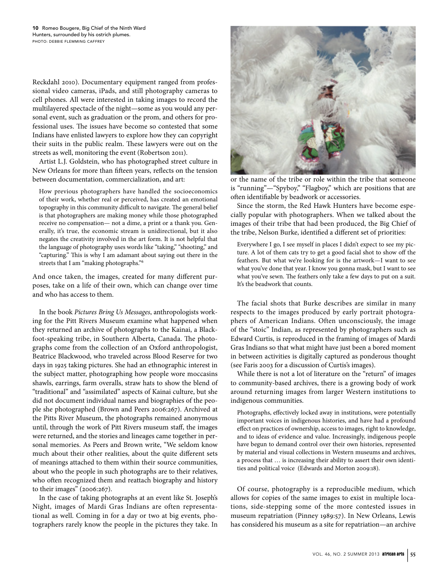Reckdahl 2010). Documentary equipment ranged from professional video cameras, iPads, and still photography cameras to cell phones. All were interested in taking images to record the multilayered spectacle of the night—some as you would any personal event, such as graduation or the prom, and others for professional uses. The issues have become so contested that some Indians have enlisted lawyers to explore how they can copyright their suits in the public realm. These lawyers were out on the streets as well, monitoring the event (Robertson 2011).

Artist L.J. Goldstein, who has photographed street culture in New Orleans for more than fifteen years, reflects on the tension between documentation, commercialization, and art:

How previous photographers have handled the socioeconomics of their work, whether real or perceived, has created an emotional topography in this community difficult to navigate. The general belief is that photographers are making money while those photographed receive no compensation— not a dime, a print or a thank you. Generally, it's true, the economic stream is unidirectional, but it also negates the creativity involved in the art form. It is not helpful that the language of photography uses words like "taking," "shooting," and "capturing." This is why I am adamant about saying out there in the streets that I am "making photographs."6

And once taken, the images, created for many different purposes, take on a life of their own, which can change over time and who has access to them.

In the book *Pictures Bring Us Messages*, anthropologists working for the Pitt Rivers Museum examine what happened when they returned an archive of photographs to the Kainai, a Blackfoot-speaking tribe, in Southern Alberta, Canada. The photographs come from the collection of an Oxford anthropologist, Beatrice Blackwood, who traveled across Blood Reserve for two days in 1925 taking pictures. She had an ethnographic interest in the subject matter, photographing how people wore moccasins shawls, earrings, farm overalls, straw hats to show the blend of "traditional" and "assimilated" aspects of Kainai culture, but she did not document individual names and biographies of the people she photographed (Brown and Peers 2006:267). Archived at the Pitts River Museum, the photographs remained anonymous until, through the work of Pitt Rivers museum staff, the images were returned, and the stories and lineages came together in personal memories. As Peers and Brown write, "We seldom know much about their other realities, about the quite different sets of meanings attached to them within their source communities, about who the people in such photographs are to their relatives, who often recognized them and reattach biography and history to their images" (2006:267).

In the case of taking photographs at an event like St. Joseph's Night, images of Mardi Gras Indians are often representational as well. Coming in for a day or two at big events, photographers rarely know the people in the pictures they take. In



or the name of the tribe or role within the tribe that someone is "running"—"Spyboy," "Flagboy," which are positions that are often identifiable by beadwork or accessories.

Since the storm, the Red Hawk Hunters have become especially popular with photographers. When we talked about the images of their tribe that had been produced, the Big Chief of the tribe, Nelson Burke, identified a different set of priorities:

Everywhere I go, I see myself in places I didn't expect to see my picture. A lot of them cats try to get a good facial shot to show off the feathers. But what we're looking for is the artwork—I want to see what you've done that year. I know you gonna mask, but I want to see what you've sewn. The feathers only take a few days to put on a suit. It's the beadwork that counts.

The facial shots that Burke describes are similar in many respects to the images produced by early portrait photographers of American Indians. Often unconsciously, the image of the "stoic" Indian, as represented by photographers such as Edward Curtis, is reproduced in the framing of images of Mardi Gras Indians so that what might have just been a bored moment in between activities is digitally captured as ponderous thought (see Faris 2003 for a discussion of Curtis's images).

While there is not a lot of literature on the "return" of images to community-based archives, there is a growing body of work around returning images from larger Western institutions to indigenous communities.

Photographs, effectively locked away in institutions, were potentially important voices in indigenous histories, and have had a profound effect on practices of ownership, access to images, right to knowledge, and to ideas of evidence and value. Increasingly, indigenous people have begun to demand control over their own histories, represented by material and visual collections in Western museums and archives, a process that … is increasing their ability to assert their own identities and political voice (Edwards and Morton 2009:18).

Of course, photography is a reproducible medium, which allows for copies of the same images to exist in multiple locations, side-stepping some of the more contested issues in museum repatriation (Pinney 1989:57). In New Orleans, Lewis has considered his museum as a site for repatriation—an archive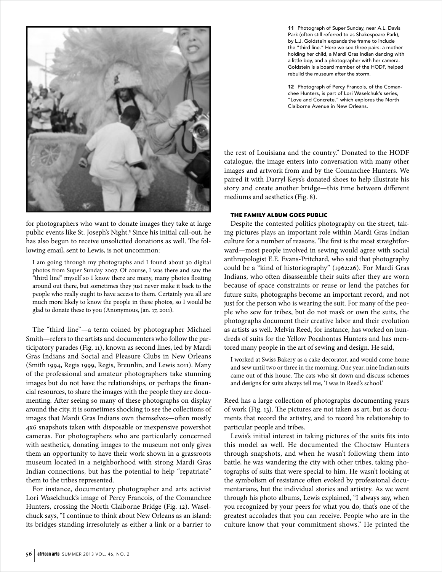

for photographers who want to donate images they take at large public events like St. Joseph's Night.<sup>5</sup> Since his initial call-out, he has also begun to receive unsolicited donations as well. The following email, sent to Lewis, is not uncommon:

I am going through my photographs and I found about 30 digital photos from Super Sunday 2007. Of course, I was there and saw the "third line" myself so I know there are many, many photos floating around out there, but sometimes they just never make it back to the people who really ought to have access to them. Certainly you all are much more likely to know the people in these photos, so I would be glad to donate these to you (Anonymous, Jan. 17, 2011).

The "third line"—a term coined by photographer Michael Smith—refers to the artists and documenters who follow the participatory parades (Fig. 11), known as second lines, led by Mardi Gras Indians and Social and Pleasure Clubs in New Orleans (Smith 1994**,** Regis 1999, Regis, Breunlin, and Lewis 2011). Many of the professional and amateur photographers take stunning images but do not have the relationships, or perhaps the financial resources, to share the images with the people they are documenting. After seeing so many of these photographs on display around the city, it is sometimes shocking to see the collections of images that Mardi Gras Indians own themselves—often mostly 4x6 snapshots taken with disposable or inexpensive powershot cameras. For photographers who are particularly concerned with aesthetics, donating images to the museum not only gives them an opportunity to have their work shown in a grassroots museum located in a neighborhood with strong Mardi Gras Indian connections, but has the potential to help "repatriate" them to the tribes represented.

For instance, documentary photographer and arts activist Lori Waselchuck's image of Percy Francois, of the Comanchee Hunters, crossing the North Claiborne Bridge (Fig. 12). Waselchuck says, "I continue to think about New Orleans as an island: its bridges standing irresolutely as either a link or a barrier to

11 Photograph of Super Sunday, near A.L. Davis Park (often still referred to as Shakespeare Park), by L.J. Goldstein expands the frame to include the "third line." Here we see three pairs: a mother holding her child, a Mardi Gras Indian dancing with a little boy, and a photographer with her camera. Goldstein is a board member of the HODF, helped rebuild the museum after the storm.

12 Photograph of Percy Francois, of the Comanchee Hunters, is part of Lori Waselchuk's series, "Love and Concrete," which explores the North Claiborne Avenue in New Orleans.

the rest of Louisiana and the country." Donated to the HODF catalogue, the image enters into conversation with many other images and artwork from and by the Comanchee Hunters. We paired it with Darryl Keys's donated shoes to help illustrate his story and create another bridge—this time between different mediums and aesthetics (Fig. 8).

#### The Family Album Goes Public

Despite the contested politics photography on the street, taking pictures plays an important role within Mardi Gras Indian culture for a number of reasons. The first is the most straightforward—most people involved in sewing would agree with social anthropologist E.E. Evans-Pritchard, who said that photography could be a "kind of historiography" (1962:26). For Mardi Gras Indians, who often disassemble their suits after they are worn because of space constraints or reuse or lend the patches for future suits, photographs become an important record, and not just for the person who is wearing the suit. For many of the people who sew for tribes, but do not mask or own the suits, the photographs document their creative labor and their evolution as artists as well. Melvin Reed, for instance, has worked on hundreds of suits for the Yellow Pocahontas Hunters and has mentored many people in the art of sewing and design. He said,

I worked at Swiss Bakery as a cake decorator, and would come home and sew until two or three in the morning. One year, nine Indian suits came out of this house. The cats who sit down and discuss schemes and designs for suits always tell me, 'I was in Reed's school.'

Reed has a large collection of photographs documenting years of work (Fig. 13). The pictures are not taken as art, but as documents that record the artistry, and to record his relationship to particular people and tribes.

Lewis's initial interest in taking pictures of the suits fits into this model as well. He documented the Choctaw Hunters through snapshots, and when he wasn't following them into battle, he was wandering the city with other tribes, taking photographs of suits that were special to him. He wasn't looking at the symbolism of resistance often evoked by professional documentarians, but the individual stories and artistry. As we went through his photo albums, Lewis explained, "I always say, when you recognized by your peers for what you do, that's one of the greatest accolades that you can receive. People who are in the culture know that your commitment shows." He printed the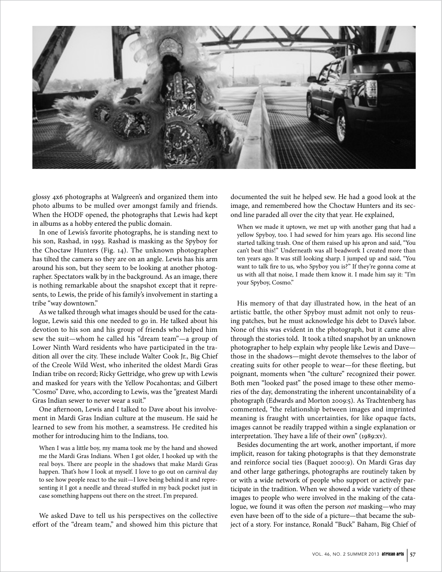

glossy 4x6 photographs at Walgreen's and organized them into photo albums to be mulled over amongst family and friends. When the HODF opened, the photographs that Lewis had kept in albums as a hobby entered the public domain.

In one of Lewis's favorite photographs, he is standing next to his son, Rashad, in 1993. Rashad is masking as the Spyboy for the Choctaw Hunters (Fig. 14). The unknown photographer has tilted the camera so they are on an angle. Lewis has his arm around his son, but they seem to be looking at another photographer. Spectators walk by in the background. As an image, there is nothing remarkable about the snapshot except that it represents, to Lewis, the pride of his family's involvement in starting a tribe "way downtown."

As we talked through what images should be used for the catalogue, Lewis said this one needed to go in. He talked about his devotion to his son and his group of friends who helped him sew the suit—whom he called his "dream team"—a group of Lower Ninth Ward residents who have participated in the tradition all over the city. These include Walter Cook Jr., Big Chief of the Creole Wild West, who inherited the oldest Mardi Gras Indian tribe on record; Ricky Gettridge, who grew up with Lewis and masked for years with the Yellow Pocahontas; and Gilbert "Cosmo" Dave, who, according to Lewis, was the "greatest Mardi Gras Indian sewer to never wear a suit.'

One afternoon, Lewis and I talked to Dave about his involvement in Mardi Gras Indian culture at the museum. He said he learned to sew from his mother, a seamstress. He credited his mother for introducing him to the Indians, too.

When I was a little boy, my mama took me by the hand and showed me the Mardi Gras Indians. When I got older, I hooked up with the real boys. There are people in the shadows that make Mardi Gras happen. That's how I look at myself. I love to go out on carnival day to see how people react to the suit—I love being behind it and representing it I got a needle and thread stuffed in my back pocket just in case something happens out there on the street. I'm prepared.

We asked Dave to tell us his perspectives on the collective effort of the "dream team," and showed him this picture that documented the suit he helped sew. He had a good look at the image, and remembered how the Choctaw Hunters and its second line paraded all over the city that year. He explained,

When we made it uptown, we met up with another gang that had a yellow Spyboy, too. I had sewed for him years ago. His second line started talking trash. One of them raised up his apron and said, "You can't beat this!" Underneath was all beadwork I created more than ten years ago. It was still looking sharp. I jumped up and said, "You want to talk fire to us, who Spyboy you is?" If they're gonna come at us with all that noise, I made them know it. I made him say it: "I'm your Spyboy, Cosmo."

His memory of that day illustrated how, in the heat of an artistic battle, the other Spyboy must admit not only to reusing patches, but he must acknowledge his debt to Dave's labor. None of this was evident in the photograph, but it came alive through the stories told. It took a tilted snapshot by an unknown photographer to help explain why people like Lewis and Dave those in the shadows—might devote themselves to the labor of creating suits for other people to wear—for these fleeting, but poignant, moments when "the culture" recognized their power. Both men "looked past" the posed image to these other memories of the day, demonstrating the inherent uncontainability of a photograph (Edwards and Morton 2009:5). As Trachtenberg has commented, "the relationship between images and imprinted meaning is fraught with uncertainties, for like opaque facts, images cannot be readily trapped within a single explanation or interpretation. They have a life of their own" (1989:xv).

Besides documenting the art work, another important, if more implicit, reason for taking photographs is that they demonstrate and reinforce social ties (Baquet 2000:9). On Mardi Gras day and other large gatherings, photographs are routinely taken by or with a wide network of people who support or actively participate in the tradition. When we showed a wide variety of these images to people who were involved in the making of the catalogue, we found it was often the person *not* masking—who may even have been off to the side of a picture—that became the subject of a story. For instance, Ronald "Buck" Baham, Big Chief of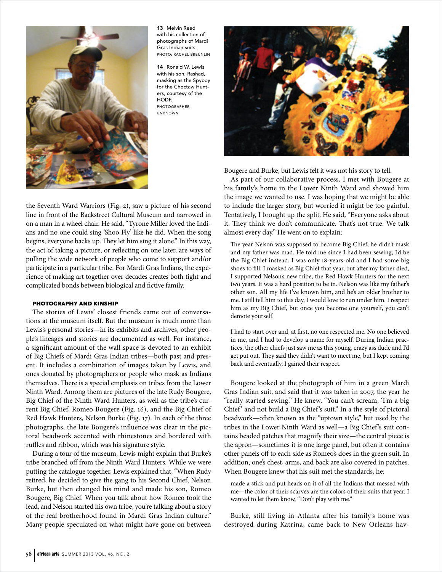

13 Melvin Reed with his collection of photographs of Mardi Gras Indian suits. Photo: Rachel Breunlin

14 Ronald W. Lewis with his son, Rashad, masking as the Spyboy for the Choctaw Hunters, courtesy of the HODF. **PHOTOGRAPHER** unknown

the Seventh Ward Warriors (Fig. 2), saw a picture of his second line in front of the Backstreet Cultural Museum and narrowed in on a man in a wheel chair. He said, "Tyrone Miller loved the Indians and no one could sing 'Shoo Fly' like he did. When the song begins, everyone backs up. They let him sing it alone." In this way, the act of taking a picture, or reflecting on one later, are ways of pulling the wide network of people who come to support and/or participate in a particular tribe. For Mardi Gras Indians, the experience of making art together over decades creates both tight and complicated bonds between biological and fictive family.

#### Photography and Kinship

The stories of Lewis' closest friends came out of conversations at the museum itself. But the museum is much more than Lewis's personal stories—in its exhibits and archives, other people's lineages and stories are documented as well. For instance, a significant amount of the wall space is devoted to an exhibit of Big Chiefs of Mardi Gras Indian tribes—both past and present. It includes a combination of images taken by Lewis, and ones donated by photographers or people who mask as Indians themselves. There is a special emphasis on tribes from the Lower Ninth Ward. Among them are pictures of the late Rudy Bougere, Big Chief of the Ninth Ward Hunters, as well as the tribe's current Big Chief, Romeo Bougere (Fig. 16), and the Big Chief of Red Hawk Hunters, Nelson Burke (Fig. 17). In each of the three photographs, the late Bougere's influence was clear in the pictoral beadwork accented with rhinestones and bordered with ruffles and ribbon, which was his signature style.

During a tour of the museum, Lewis might explain that Burke's tribe branched off from the Ninth Ward Hunters. While we were putting the catalogue together, Lewis explained that, "When Rudy retired, he decided to give the gang to his Second Chief, Nelson Burke, but then changed his mind and made his son, Romeo Bougere, Big Chief. When you talk about how Romeo took the lead, and Nelson started his own tribe, you're talking about a story of the real brotherhood found in Mardi Gras Indian culture." Many people speculated on what might have gone on between



Bougere and Burke, but Lewis felt it was not his story to tell.

As part of our collaborative process, I met with Bougere at his family's home in the Lower Ninth Ward and showed him the image we wanted to use. I was hoping that we might be able to include the larger story, but worried it might be too painful. Tentatively, I brought up the split. He said, "Everyone asks about it. They think we don't communicate. That's not true. We talk almost every day." He went on to explain:

The year Nelson was supposed to become Big Chief, he didn't mask and my father was mad. He told me since I had been sewing, I'd be the Big Chief instead. I was only 18-years-old and I had some big shoes to fill. I masked as Big Chief that year, but after my father died, I supported Nelson's new tribe, the Red Hawk Hunters for the next two years. It was a hard position to be in. Nelson was like my father's other son. All my life I've known him, and he's an older brother to me. I still tell him to this day, I would love to run under him. I respect him as my Big Chief, but once you become one yourself, you can't demote yourself.

I had to start over and, at first, no one respected me. No one believed in me, and I had to develop a name for myself. During Indian practices, the other chiefs just saw me as this young, crazy ass dude and I'd get put out. They said they didn't want to meet me, but I kept coming back and eventually, I gained their respect.

Bougere looked at the photograph of him in a green Mardi Gras Indian suit, and said that it was taken in 2007, the year he "really started sewing." He knew, "You can't scream, 'I'm a big Chief' and not build a Big Chief's suit." In a the style of pictoral beadwork—often known as the "uptown style," but used by the tribes in the Lower Ninth Ward as well—a Big Chief 's suit contains beaded patches that magnify their size—the central piece is the apron—sometimes it is one large panel, but often it contains other panels off to each side as Romeo's does in the green suit. In addition, one's chest, arms, and back are also covered in patches. When Bougere knew that his suit met the standards, he:

made a stick and put heads on it of all the Indians that messed with me—the color of their scarves are the colors of their suits that year. I wanted to let them know, "Don't play with me."

Burke, still living in Atlanta after his family's home was destroyed during Katrina, came back to New Orleans hav-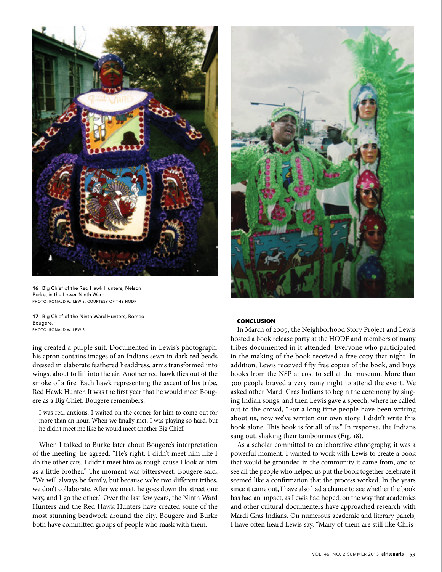

16 Big Chief of the Red Hawk Hunters, Nelson Burke, in the Lower Ninth Ward. Photo: Ronald W. Lewis, courtesy of the HODF

17 Big Chief of the Ninth Ward Hunters, Romeo Bougere. Photo: Ronald W. Lewis

ing created a purple suit. Documented in Lewis's photograph, his apron contains images of an Indians sewn in dark red beads dressed in elaborate feathered headdress, arms transformed into wings, about to lift into the air. Another red hawk flies out of the smoke of a fire. Each hawk representing the ascent of his tribe, Red Hawk Hunter. It was the first year that he would meet Bougere as a Big Chief. Bougere remembers:

I was real anxious. I waited on the corner for him to come out for more than an hour. When we finally met, I was playing so hard, but he didn't meet me like he would meet another Big Chief.

When I talked to Burke later about Bougere's interpretation of the meeting, he agreed, "He's right. I didn't meet him like I do the other cats. I didn't meet him as rough cause I look at him as a little brother." The moment was bittersweet. Bougere said, "We will always be family, but because we're two different tribes, we don't collaborate. After we meet, he goes down the street one way, and I go the other." Over the last few years, the Ninth Ward Hunters and the Red Hawk Hunters have created some of the most stunning beadwork around the city. Bougere and Burke both have committed groups of people who mask with them.



## **CONCLUSION**

In March of 2009, the Neighborhood Story Project and Lewis hosted a book release party at the HODF and members of many tribes documented in it attended. Everyone who participated in the making of the book received a free copy that night. In addition, Lewis received fifty free copies of the book, and buys books from the NSP at cost to sell at the museum. More than 300 people braved a very rainy night to attend the event. We asked other Mardi Gras Indians to begin the ceremony by singing Indian songs, and then Lewis gave a speech, where he called out to the crowd, "For a long time people have been writing about us, now we've written our own story. I didn't write this book alone. This book is for all of us." In response, the Indians sang out, shaking their tambourines (Fig. 18).

As a scholar committed to collaborative ethnography, it was a powerful moment. I wanted to work with Lewis to create a book that would be grounded in the community it came from, and to see all the people who helped us put the book together celebrate it seemed like a confirmation that the process worked. In the years since it came out, I have also had a chance to see whether the book has had an impact, as Lewis had hoped, on the way that academics and other cultural documenters have approached research with Mardi Gras Indians. On numerous academic and literary panels, I have often heard Lewis say, "Many of them are still like Chris-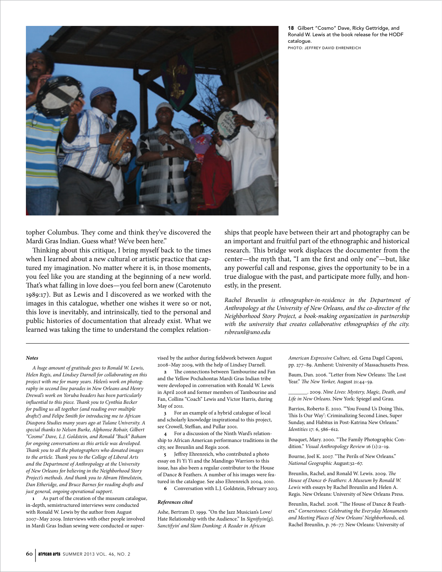

topher Columbus. They come and think they've discovered the Mardi Gras Indian. Guess what? We've been here."

Thinking about this critique, I bring myself back to the times when I learned about a new cultural or artistic practice that captured my imagination. No matter where it is, in those moments, you feel like you are standing at the beginning of a new world. That's what falling in love does—you feel born anew (Carotenuto 1989:17). But as Lewis and I discovered as we worked with the images in this catalogue, whether one wishes it were so or not, this love is inevitably, and intrinsically, tied to the personal and public histories of documentation that already exist. What we learned was taking the time to understand the complex relation-

18 Gilbert "Cosmo" Dave, Ricky Gettridge, and Ronald W. Lewis at the book release for the HODF catalogue. Photo: Jeffrey David Ehrenreich

ships that people have between their art and photography can be an important and fruitful part of the ethnographic and historical research. This bridge work displaces the documenter from the center—the myth that, "I am the first and only one"—but, like any powerful call and response, gives the opportunity to be in a true dialogue with the past, and participate more fully, and honestly, in the present.

*Rachel Breunlin is ethnographer-in-residence in the Department of Anthropology at the University of New Orleans, and the co-director of the Neighborhood Story Project, a book-making organization in partnership*  with the university that creates collaborative ethnographies of the city. *rsbreunl@uno.edu*

#### *Notes*

*A huge amount of gratitude goes to Ronald W. Lewis, Helen Regis, and Lindsey Darnell for collaborating on this project with me for many years. Helen's work on photography in second line parades in New Orleans and Henry Drewal's work on Yoruba beaders has been particularly influential to this piece. Thank you to Cynthia Becker for pulling us all together (and reading over multiple drafts!) and Felipe Smith for introducing me to African Diaspora Studies many years ago at Tulane University. A special thanks to Nelson Burke, Alphonse Robair, Gilbert "Cosmo" Dave, L.J. Goldstein, and Ronald "Buck" Baham for ongoing conversations as this article was developed. Thank you to all the photographers who donated images to the article. Thank you to the College of Liberal Arts and the Department of Anthropology at the University of New Orleans for believing in the Neighborhood Story Project's methods. And thank you to Abram Himelstein, Dan Etheridge, and Bruce Barnes for reading drafts and just general, ongoing operational support.* 

**1** As part of the creation of the museum catalogue, in-depth, semistructured interviews were conducted with Ronald W. Lewis by the author from August 2007–May 2009. Interviews with other people involved in Mardi Gras Indian sewing were conducted or supervised by the author during fieldwork between August 2008–May 2009, with the help of Lindsey Darnell.

**2** The connections between Tambourine and Fan and the Yellow Pochahontas Mardi Gras Indian tribe were developed in conversation with Ronald W. Lewis in April 2008 and former members of Tambourine and Fan, Collins "Coach" Lewis and Victor Harris, during May of 2011.

**3** For an example of a hybrid catalogue of local and scholarly knowledge inspirational to this project, see Crowell, Steffian, and Pullar 2001.

**4** For a discussion of the Ninth Ward's relationship to African American performance traditions in the city, see Breunlin and Regis 2006.

**5** Jeffrey Ehrenreich, who contributed a photo essay on Fi Yi Yi and the Mandingo Warriors to this issue, has also been a regular contributor to the House of Dance & Feathers. A number of his images were featured in the catalogue. See also Ehrenreich 2004, 2010.

**6** Conversation with L.J. Goldstein, February 2013.

#### *References cited*

Ashe, Bertram D. 1999. "On the Jazz Musician's Love/ Hate Relationship with the Audience." In *Signifiyin(g), Sanctifyin' and Slam Dunking: A Reader in African* 

*American Expressive Culture,* ed. Gena Dagel Caponi, pp. 277–89. Amherst: University of Massachusetts Press.

Baum, Dan. 2006. "Letter from New Orleans: The Lost Year." *The New Yorker,* August 21:44–59.

\_\_\_\_\_\_\_. 2009. *Nine Lives: Mystery, Magic, Death, and Life in New Orleans*. New York: Spiegel and Grau.

Barrios, Roberto E. 2010. "'You Found Us Doing This, This Is Our Way': Criminalizing Second Lines, Super Sunday, and Habitus in Post-Katrina New Orleans." *Identities* 17: 6, 586–612.

Bouquet, Mary. 2000. "The Family Photographic Condition." *Visual Anthropology Review* 16 (1):2–19.

Bourne, Joel K. 2007. "The Perils of New Orleans." *National Geographic* August:32–67.

Breunlin, Rachel, and Ronald W. Lewis. 2009. *The House of Dance & Feathers: A Museum by Ronald W. Lewis* with essays by Rachel Breunlin and Helen A. Regis. New Orleans: University of New Orleans Press.

Breunlin, Rachel. 2008. "The House of Dance & Feathers." *Cornerstones: Celebrating the Everyday Monuments and Meeting Places of New Orleans' Neighborhoods*, ed. Rachel Breunlin, p. 76–77. New Orleans: University of